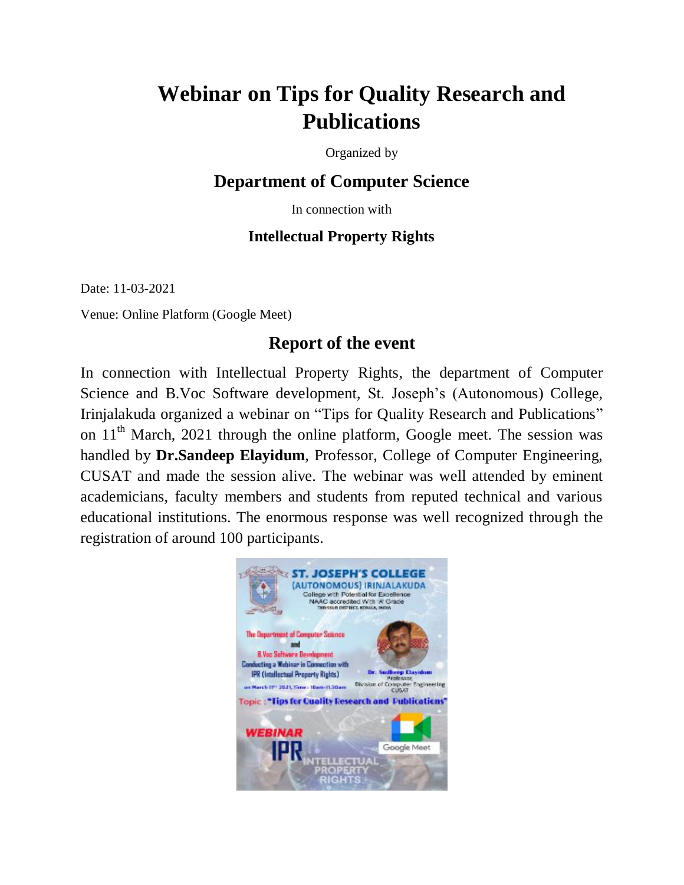## **Webinar on Tips for Quality Research and Publications**

Organized by

## **Department of Computer Science**

In connection with

## **Intellectual Property Rights**

Date: 11-03-2021

Venue: Online Platform (Google Meet)

## **Report of the event**

In connection with Intellectual Property Rights, the department of Computer Science and B.Voc Software development, St. Joseph"s (Autonomous) College, Irinjalakuda organized a webinar on "Tips for Quality Research and Publications" on 11<sup>th</sup> March, 2021 through the online platform, Google meet. The session was handled by **Dr.Sandeep Elayidum**, Professor, College of Computer Engineering, CUSAT and made the session alive. The webinar was well attended by eminent academicians, faculty members and students from reputed technical and various educational institutions. The enormous response was well recognized through the registration of around 100 participants.